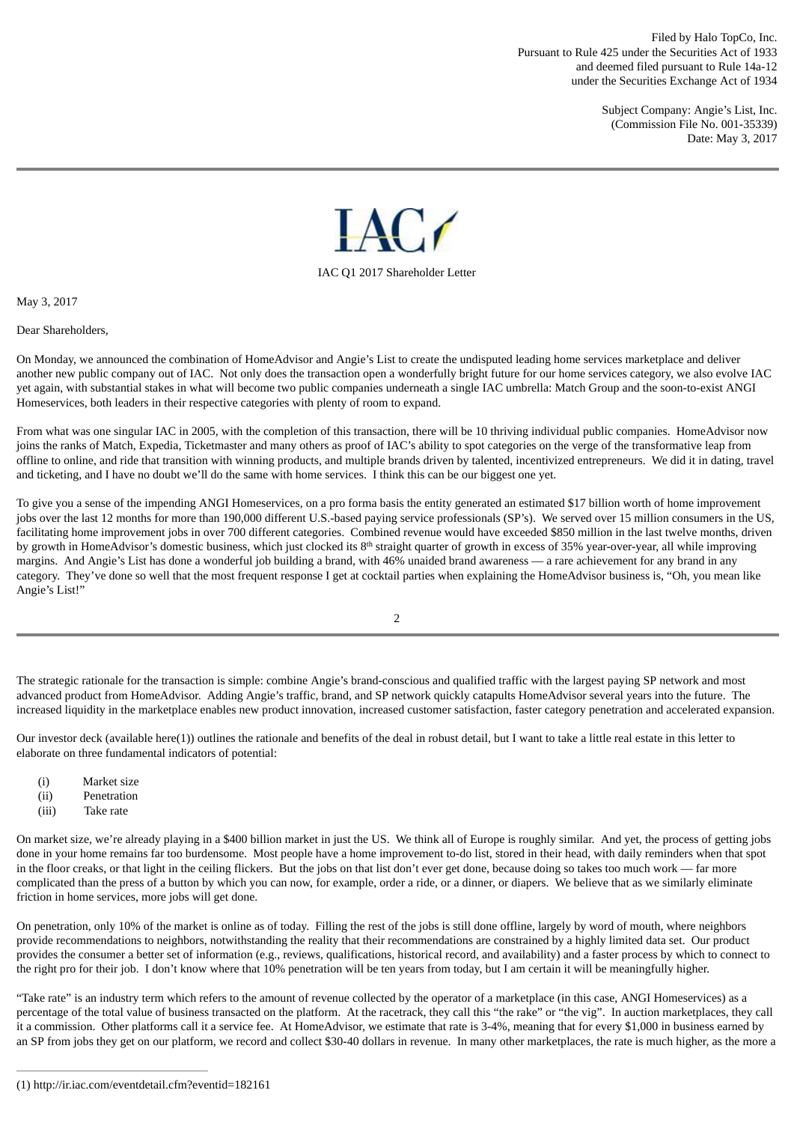Filed by Halo TopCo, Inc. Pursuant to Rule 425 under the Securities Act of 1933 and deemed filed pursuant to Rule 14a-12 under the Securities Exchange Act of 1934

> Subject Company: Angie's List, Inc. (Commission File No. 001-35339) Date: May 3, 2017



#### IAC Q1 2017 Shareholder Letter

May 3, 2017

Dear Shareholders,

On Monday, we announced the combination of HomeAdvisor and Angie's List to create the undisputed leading home services marketplace and deliver another new public company out of IAC. Not only does the transaction open a wonderfully bright future for our home services category, we also evolve IAC yet again, with substantial stakes in what will become two public companies underneath a single IAC umbrella: Match Group and the soon-to-exist ANGI Homeservices, both leaders in their respective categories with plenty of room to expand.

From what was one singular IAC in 2005, with the completion of this transaction, there will be 10 thriving individual public companies. HomeAdvisor now joins the ranks of Match, Expedia, Ticketmaster and many others as proof of IAC's ability to spot categories on the verge of the transformative leap from offline to online, and ride that transition with winning products, and multiple brands driven by talented, incentivized entrepreneurs. We did it in dating, travel and ticketing, and I have no doubt we'll do the same with home services. I think this can be our biggest one yet.

To give you a sense of the impending ANGI Homeservices, on a pro forma basis the entity generated an estimated \$17 billion worth of home improvement jobs over the last 12 months for more than 190,000 different U.S.-based paying service professionals (SP's). We served over 15 million consumers in the US, facilitating home improvement jobs in over 700 different categories. Combined revenue would have exceeded \$850 million in the last twelve months, driven by growth in HomeAdvisor's domestic business, which just clocked its 8<sup>th</sup> straight quarter of growth in excess of 35% year-over-year, all while improving margins. And Angie's List has done a wonderful job building a brand, with 46% unaided brand awareness — a rare achievement for any brand in any category. They've done so well that the most frequent response I get at cocktail parties when explaining the HomeAdvisor business is, "Oh, you mean like Angie's List!"

The strategic rationale for the transaction is simple: combine Angie's brand-conscious and qualified traffic with the largest paying SP network and most advanced product from HomeAdvisor. Adding Angie's traffic, brand, and SP network quickly catapults HomeAdvisor several years into the future. The increased liquidity in the marketplace enables new product innovation, increased customer satisfaction, faster category penetration and accelerated expansion.

Our investor deck (available here(1)) outlines the rationale and benefits of the deal in robust detail, but I want to take a little real estate in this letter to elaborate on three fundamental indicators of potential:

- (i) Market size
- (ii) Penetration
- (iii) Take rate

On market size, we're already playing in a \$400 billion market in just the US. We think all of Europe is roughly similar. And yet, the process of getting jobs done in your home remains far too burdensome. Most people have a home improvement to-do list, stored in their head, with daily reminders when that spot in the floor creaks, or that light in the ceiling flickers. But the jobs on that list don't ever get done, because doing so takes too much work — far more complicated than the press of a button by which you can now, for example, order a ride, or a dinner, or diapers. We believe that as we similarly eliminate friction in home services, more jobs will get done.

On penetration, only 10% of the market is online as of today. Filling the rest of the jobs is still done offline, largely by word of mouth, where neighbors provide recommendations to neighbors, notwithstanding the reality that their recommendations are constrained by a highly limited data set. Our product provides the consumer a better set of information (e.g., reviews, qualifications, historical record, and availability) and a faster process by which to connect to the right pro for their job. I don't know where that 10% penetration will be ten years from today, but I am certain it will be meaningfully higher.

"Take rate" is an industry term which refers to the amount of revenue collected by the operator of a marketplace (in this case, ANGI Homeservices) as a percentage of the total value of business transacted on the platform. At the racetrack, they call this "the rake" or "the vig". In auction marketplaces, they call it a commission. Other platforms call it a service fee. At HomeAdvisor, we estimate that rate is 3-4%, meaning that for every \$1,000 in business earned by an SP from jobs they get on our platform, we record and collect \$30-40 dollars in revenue. In many other marketplaces, the rate is much higher, as the more a

<sup>2</sup>

<sup>(1)</sup> http://ir.iac.com/eventdetail.cfm?eventid=182161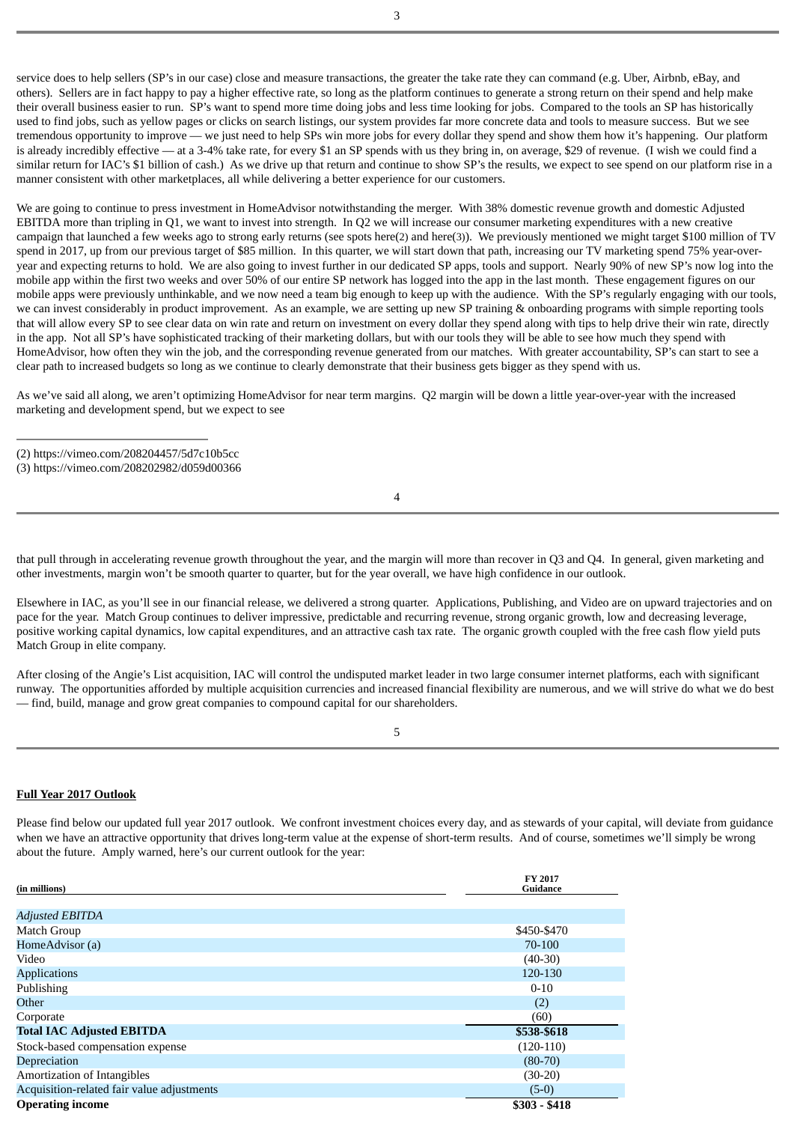service does to help sellers (SP's in our case) close and measure transactions, the greater the take rate they can command (e.g. Uber, Airbnb, eBay, and others). Sellers are in fact happy to pay a higher effective rate, so long as the platform continues to generate a strong return on their spend and help make their overall business easier to run. SP's want to spend more time doing jobs and less time looking for jobs. Compared to the tools an SP has historically used to find jobs, such as yellow pages or clicks on search listings, our system provides far more concrete data and tools to measure success. But we see tremendous opportunity to improve — we just need to help SPs win more jobs for every dollar they spend and show them how it's happening. Our platform is already incredibly effective — at a 3-4% take rate, for every \$1 an SP spends with us they bring in, on average, \$29 of revenue. (I wish we could find a similar return for IAC's \$1 billion of cash.) As we drive up that return and continue to show SP's the results, we expect to see spend on our platform rise in a manner consistent with other marketplaces, all while delivering a better experience for our customers.

We are going to continue to press investment in HomeAdvisor notwithstanding the merger. With 38% domestic revenue growth and domestic Adjusted EBITDA more than tripling in Q1, we want to invest into strength. In Q2 we will increase our consumer marketing expenditures with a new creative campaign that launched a few weeks ago to strong early returns (see spots here(2) and here(3)). We previously mentioned we might target \$100 million of TV spend in 2017, up from our previous target of \$85 million. In this quarter, we will start down that path, increasing our TV marketing spend 75% year-overyear and expecting returns to hold. We are also going to invest further in our dedicated SP apps, tools and support. Nearly 90% of new SP's now log into the mobile app within the first two weeks and over 50% of our entire SP network has logged into the app in the last month. These engagement figures on our mobile apps were previously unthinkable, and we now need a team big enough to keep up with the audience. With the SP's regularly engaging with our tools, we can invest considerably in product improvement. As an example, we are setting up new SP training & onboarding programs with simple reporting tools that will allow every SP to see clear data on win rate and return on investment on every dollar they spend along with tips to help drive their win rate, directly in the app. Not all SP's have sophisticated tracking of their marketing dollars, but with our tools they will be able to see how much they spend with HomeAdvisor, how often they win the job, and the corresponding revenue generated from our matches. With greater accountability, SP's can start to see a clear path to increased budgets so long as we continue to clearly demonstrate that their business gets bigger as they spend with us.

As we've said all along, we aren't optimizing HomeAdvisor for near term margins. Q2 margin will be down a little year-over-year with the increased marketing and development spend, but we expect to see

4

that pull through in accelerating revenue growth throughout the year, and the margin will more than recover in Q3 and Q4. In general, given marketing and other investments, margin won't be smooth quarter to quarter, but for the year overall, we have high confidence in our outlook.

Elsewhere in IAC, as you'll see in our financial release, we delivered a strong quarter. Applications, Publishing, and Video are on upward trajectories and on pace for the year. Match Group continues to deliver impressive, predictable and recurring revenue, strong organic growth, low and decreasing leverage, positive working capital dynamics, low capital expenditures, and an attractive cash tax rate. The organic growth coupled with the free cash flow yield puts Match Group in elite company.

After closing of the Angie's List acquisition, IAC will control the undisputed market leader in two large consumer internet platforms, each with significant runway. The opportunities afforded by multiple acquisition currencies and increased financial flexibility are numerous, and we will strive do what we do best — find, build, manage and grow great companies to compound capital for our shareholders.

# **Full Year 2017 Outlook**

Please find below our updated full year 2017 outlook. We confront investment choices every day, and as stewards of your capital, will deviate from guidance when we have an attractive opportunity that drives long-term value at the expense of short-term results. And of course, sometimes we'll simply be wrong about the future. Amply warned, here's our current outlook for the year:

| (in millions)                              | <b>FY 2017</b><br>Guidance |
|--------------------------------------------|----------------------------|
|                                            |                            |
| <b>Adjusted EBITDA</b>                     |                            |
| Match Group                                | \$450-\$470                |
| HomeAdvisor (a)                            | 70-100                     |
| Video                                      | $(40-30)$                  |
| <b>Applications</b>                        | 120-130                    |
| Publishing                                 | $0 - 10$                   |
| Other                                      | (2)                        |
| Corporate                                  | (60)                       |
| <b>Total IAC Adjusted EBITDA</b>           | \$538-\$618                |
| Stock-based compensation expense           | $(120-110)$                |
| Depreciation                               | $(80-70)$                  |
| Amortization of Intangibles                | $(30-20)$                  |
| Acquisition-related fair value adjustments | $(5-0)$                    |
| <b>Operating income</b>                    | $$303 - $418$              |

<sup>(2)</sup> https://vimeo.com/208204457/5d7c10b5cc

<sup>(3)</sup> https://vimeo.com/208202982/d059d00366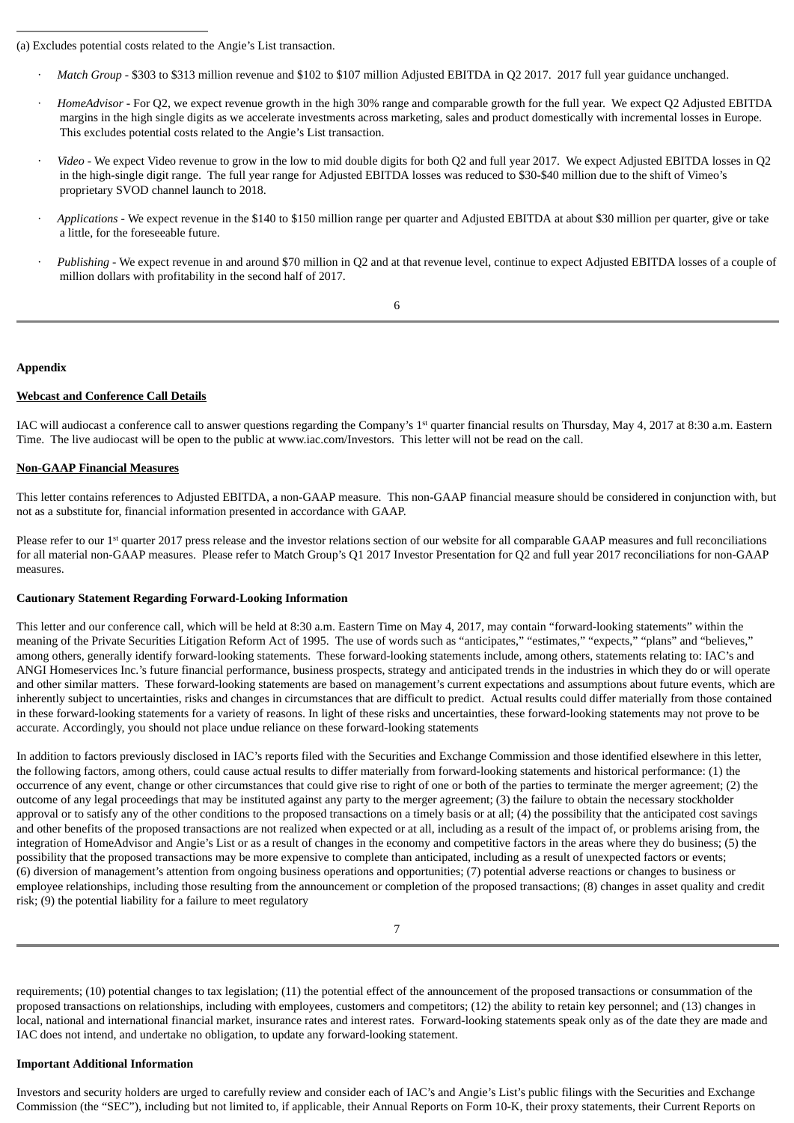- · *Match Group* \$303 to \$313 million revenue and \$102 to \$107 million Adjusted EBITDA in Q2 2017. 2017 full year guidance unchanged.
- · *HomeAdvisor* For Q2, we expect revenue growth in the high 30% range and comparable growth for the full year. We expect Q2 Adjusted EBITDA margins in the high single digits as we accelerate investments across marketing, sales and product domestically with incremental losses in Europe. This excludes potential costs related to the Angie's List transaction.
- · *Video* We expect Video revenue to grow in the low to mid double digits for both Q2 and full year 2017. We expect Adjusted EBITDA losses in Q2 in the high-single digit range. The full year range for Adjusted EBITDA losses was reduced to \$30-\$40 million due to the shift of Vimeo's proprietary SVOD channel launch to 2018.
- · *Applications -* We expect revenue in the \$140 to \$150 million range per quarter and Adjusted EBITDA at about \$30 million per quarter, give or take a little, for the foreseeable future.
- · *Publishing* We expect revenue in and around \$70 million in Q2 and at that revenue level, continue to expect Adjusted EBITDA losses of a couple of million dollars with profitability in the second half of 2017.

## 6

### **Appendix**

#### **Webcast and Conference Call Details**

IAC will audiocast a conference call to answer questions regarding the Company's 1<sup>st</sup> quarter financial results on Thursday, May 4, 2017 at 8:30 a.m. Eastern Time. The live audiocast will be open to the public at www.iac.com/Investors. This letter will not be read on the call.

### **Non-GAAP Financial Measures**

This letter contains references to Adjusted EBITDA, a non-GAAP measure. This non-GAAP financial measure should be considered in conjunction with, but not as a substitute for, financial information presented in accordance with GAAP.

Please refer to our 1<sup>st</sup> quarter 2017 press release and the investor relations section of our website for all comparable GAAP measures and full reconciliations for all material non-GAAP measures. Please refer to Match Group's Q1 2017 Investor Presentation for Q2 and full year 2017 reconciliations for non-GAAP measures.

#### **Cautionary Statement Regarding Forward-Looking Information**

This letter and our conference call, which will be held at 8:30 a.m. Eastern Time on May 4, 2017, may contain "forward-looking statements" within the meaning of the Private Securities Litigation Reform Act of 1995. The use of words such as "anticipates," "estimates," "expects," "plans" and "believes," among others, generally identify forward-looking statements. These forward-looking statements include, among others, statements relating to: IAC's and ANGI Homeservices Inc.'s future financial performance, business prospects, strategy and anticipated trends in the industries in which they do or will operate and other similar matters. These forward-looking statements are based on management's current expectations and assumptions about future events, which are inherently subject to uncertainties, risks and changes in circumstances that are difficult to predict. Actual results could differ materially from those contained in these forward-looking statements for a variety of reasons. In light of these risks and uncertainties, these forward-looking statements may not prove to be accurate. Accordingly, you should not place undue reliance on these forward-looking statements

In addition to factors previously disclosed in IAC's reports filed with the Securities and Exchange Commission and those identified elsewhere in this letter, the following factors, among others, could cause actual results to differ materially from forward-looking statements and historical performance: (1) the occurrence of any event, change or other circumstances that could give rise to right of one or both of the parties to terminate the merger agreement; (2) the outcome of any legal proceedings that may be instituted against any party to the merger agreement; (3) the failure to obtain the necessary stockholder approval or to satisfy any of the other conditions to the proposed transactions on a timely basis or at all; (4) the possibility that the anticipated cost savings and other benefits of the proposed transactions are not realized when expected or at all, including as a result of the impact of, or problems arising from, the integration of HomeAdvisor and Angie's List or as a result of changes in the economy and competitive factors in the areas where they do business; (5) the possibility that the proposed transactions may be more expensive to complete than anticipated, including as a result of unexpected factors or events; (6) diversion of management's attention from ongoing business operations and opportunities; (7) potential adverse reactions or changes to business or employee relationships, including those resulting from the announcement or completion of the proposed transactions; (8) changes in asset quality and credit risk; (9) the potential liability for a failure to meet regulatory

requirements; (10) potential changes to tax legislation; (11) the potential effect of the announcement of the proposed transactions or consummation of the proposed transactions on relationships, including with employees, customers and competitors; (12) the ability to retain key personnel; and (13) changes in local, national and international financial market, insurance rates and interest rates. Forward-looking statements speak only as of the date they are made and IAC does not intend, and undertake no obligation, to update any forward-looking statement.

## **Important Additional Information**

Investors and security holders are urged to carefully review and consider each of IAC's and Angie's List's public filings with the Securities and Exchange Commission (the "SEC"), including but not limited to, if applicable, their Annual Reports on Form 10-K, their proxy statements, their Current Reports on

<sup>(</sup>a) Excludes potential costs related to the Angie's List transaction.